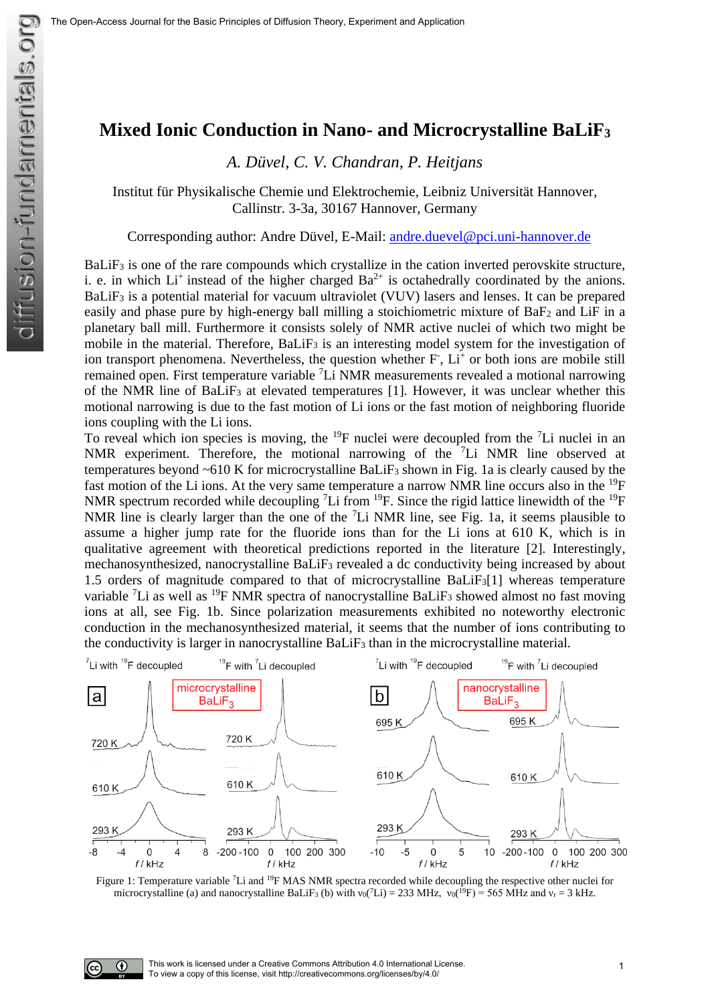## **Mixed Ionic Conduction in Nano- and Microcrystalline BaLiF<sup>3</sup>**

*A. Düvel, C. V. Chandran, P. Heitjans*

Institut für Physikalische Chemie und Elektrochemie, Leibniz Universität Hannover, Callinstr. 3-3a, 30167 Hannover, Germany

Corresponding author: Andre Düvel, E-Mail: [andre.duevel@pci.uni-hannover.de](mailto:andre.duevel@pci.uni-hannover.de)

BaLiF<sub>3</sub> is one of the rare compounds which crystallize in the cation inverted perovskite structure, i. e. in which  $Li^+$  instead of the higher charged  $Ba^{2+}$  is octahedrally coordinated by the anions. BaLiF<sub>3</sub> is a potential material for vacuum ultraviolet (VUV) lasers and lenses. It can be prepared easily and phase pure by high-energy ball milling a stoichiometric mixture of BaF<sub>2</sub> and LiF in a planetary ball mill. Furthermore it consists solely of NMR active nuclei of which two might be mobile in the material. Therefore,  $BaLiF<sub>3</sub>$  is an interesting model system for the investigation of ion transport phenomena. Nevertheless, the question whether F, Li<sup>+</sup> or both ions are mobile still remained open. First temperature variable <sup>7</sup>Li NMR measurements revealed a motional narrowing of the NMR line of BaLiF<sup>3</sup> at elevated temperatures [1]. However, it was unclear whether this motional narrowing is due to the fast motion of Li ions or the fast motion of neighboring fluoride ions coupling with the Li ions.

To reveal which ion species is moving, the <sup>19</sup>F nuclei were decoupled from the <sup>7</sup>Li nuclei in an NMR experiment. Therefore, the motional narrowing of the <sup>7</sup>Li NMR line observed at temperatures beyond  $~610$  K for microcrystalline BaLiF<sub>3</sub> shown in Fig. 1a is clearly caused by the fast motion of the Li ions. At the very same temperature a narrow NMR line occurs also in the <sup>19</sup>F NMR spectrum recorded while decoupling <sup>7</sup>Li from <sup>19</sup>F. Since the rigid lattice linewidth of the <sup>19</sup>F NMR line is clearly larger than the one of the <sup>7</sup>Li NMR line, see Fig. 1a, it seems plausible to assume a higher jump rate for the fluoride ions than for the Li ions at 610 K, which is in qualitative agreement with theoretical predictions reported in the literature [2]. Interestingly, mechanosynthesized, nanocrystalline BaLiF<sup>3</sup> revealed a dc conductivity being increased by about 1.5 orders of magnitude compared to that of microcrystalline BaLiF3[1] whereas temperature variable <sup>7</sup>Li as well as <sup>19</sup>F NMR spectra of nanocrystalline BaLiF<sub>3</sub> showed almost no fast moving ions at all, see Fig. 1b. Since polarization measurements exhibited no noteworthy electronic conduction in the mechanosynthesized material, it seems that the number of ions contributing to the conductivity is larger in nanocrystalline BaLiF<sup>3</sup> than in the microcrystalline material.



Figure 1: Temperature variable <sup>7</sup>Li and <sup>19</sup>F MAS NMR spectra recorded while decoupling the respective other nuclei for microcrystalline (a) and nanocrystalline BaLiF<sub>3</sub> (b) with  $v_0(^7Li) = 233$  MHz,  $v_0(^{19}F) = 565$  MHz and  $v_r = 3$  kHz.